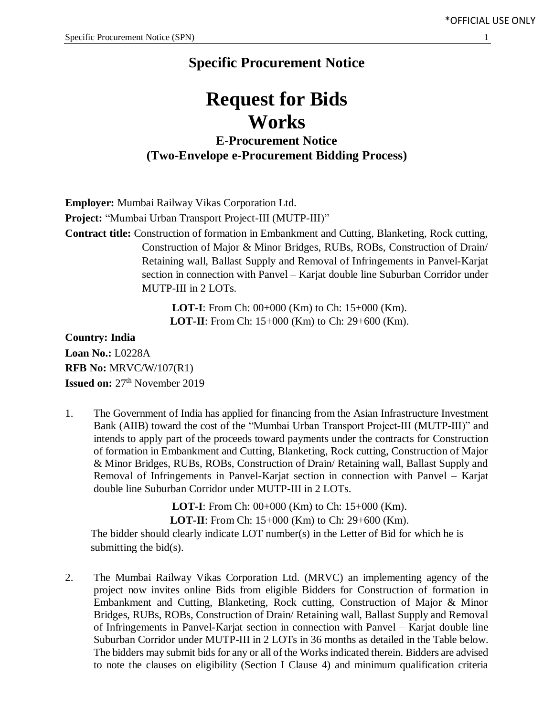## **Specific Procurement Notice**

# **Request for Bids Works**

**E-Procurement Notice (Two-Envelope e-Procurement Bidding Process)**

**Employer:** Mumbai Railway Vikas Corporation Ltd. **Project:** "Mumbai Urban Transport Project-III (MUTP-III)" **Contract title:** Construction of formation in Embankment and Cutting, Blanketing, Rock cutting, Construction of Major & Minor Bridges, RUBs, ROBs, Construction of Drain/ Retaining wall, Ballast Supply and Removal of Infringements in Panvel-Karjat section in connection with Panvel – Karjat double line Suburban Corridor under MUTP-III in 2 LOTs.

> **LOT-I**: From Ch: 00+000 (Km) to Ch: 15+000 (Km). **LOT-II**: From Ch: 15+000 (Km) to Ch: 29+600 (Km).

**Country: India Loan No.:** L0228A **RFB No:** MRVC/W/107(R1) **Issued on:** 27<sup>th</sup> November 2019

1. The Government of India has applied for financing from the Asian Infrastructure Investment Bank (AIIB) toward the cost of the "Mumbai Urban Transport Project-III (MUTP-III)" and intends to apply part of the proceeds toward payments under the contracts for Construction of formation in Embankment and Cutting, Blanketing, Rock cutting, Construction of Major & Minor Bridges, RUBs, ROBs, Construction of Drain/ Retaining wall, Ballast Supply and Removal of Infringements in Panvel-Karjat section in connection with Panvel – Karjat double line Suburban Corridor under MUTP-III in 2 LOTs.

> **LOT-I**: From Ch: 00+000 (Km) to Ch: 15+000 (Km). **LOT-II**: From Ch: 15+000 (Km) to Ch: 29+600 (Km).

The bidder should clearly indicate LOT number(s) in the Letter of Bid for which he is submitting the  $bid(s)$ .

2. The Mumbai Railway Vikas Corporation Ltd. (MRVC) an implementing agency of the project now invites online Bids from eligible Bidders for Construction of formation in Embankment and Cutting, Blanketing, Rock cutting, Construction of Major & Minor Bridges, RUBs, ROBs, Construction of Drain/ Retaining wall, Ballast Supply and Removal of Infringements in Panvel-Karjat section in connection with Panvel – Karjat double line Suburban Corridor under MUTP-III in 2 LOTs in 36 months as detailed in the Table below. The bidders may submit bids for any or all of the Works indicated therein. Bidders are advised to note the clauses on eligibility (Section I Clause 4) and minimum qualification criteria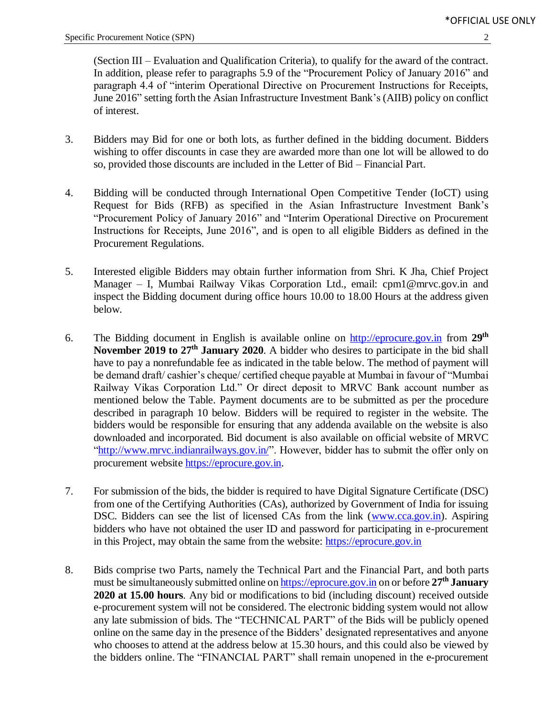(Section III – Evaluation and Qualification Criteria), to qualify for the award of the contract. In addition, please refer to paragraphs 5.9 of the "Procurement Policy of January 2016" and paragraph 4.4 of "interim Operational Directive on Procurement Instructions for Receipts, June 2016" setting forth the Asian Infrastructure Investment Bank's (AIIB) policy on conflict of interest.

- 3. Bidders may Bid for one or both lots, as further defined in the bidding document. Bidders wishing to offer discounts in case they are awarded more than one lot will be allowed to do so, provided those discounts are included in the Letter of Bid – Financial Part.
- 4. Bidding will be conducted through International Open Competitive Tender (IoCT) using Request for Bids (RFB) as specified in the Asian Infrastructure Investment Bank's "Procurement Policy of January 2016" and "Interim Operational Directive on Procurement Instructions for Receipts, June 2016", and is open to all eligible Bidders as defined in the Procurement Regulations.
- 5. Interested eligible Bidders may obtain further information from Shri. K Jha, Chief Project Manager – I, Mumbai Railway Vikas Corporation Ltd., email: cpm1@mrvc.gov.in and inspect the Bidding document during office hours 10.00 to 18.00 Hours at the address given below*.*
- 6. The Bidding document in English is available online on [http://eprocure.gov.in](http://eprocure.gov.in/) from 29<sup>th</sup> November 2019 to 27<sup>th</sup> January 2020. A bidder who desires to participate in the bid shall have to pay a nonrefundable fee as indicated in the table below. The method of payment will be demand draft/ cashier's cheque/ certified cheque payable at Mumbai in favour of "Mumbai Railway Vikas Corporation Ltd." Or direct deposit to MRVC Bank account number as mentioned below the Table. Payment documents are to be submitted as per the procedure described in paragraph 10 below. Bidders will be required to register in the website. The bidders would be responsible for ensuring that any addenda available on the website is also downloaded and incorporated*.* Bid document is also available on official website of MRVC ["http://www.mrvc.indianrailways.gov.in/"](http://www.mrvc.indianrailways.gov.in/). However, bidder has to submit the offer only on procurement website [https://eprocure.gov.in.](https://eprocure.gov.in/)
- 7. For submission of the bids, the bidder is required to have Digital Signature Certificate (DSC) from one of the Certifying Authorities (CAs), authorized by Government of India for issuing DSC. Bidders can see the list of licensed CAs from the link [\(www.cca.gov.in\)](http://www.cca.gov.in/). Aspiring bidders who have not obtained the user ID and password for participating in e-procurement in this Project, may obtain the same from the website: [https://eprocure.gov.in](https://eprocure.gov.in/)
- 8. Bids comprise two Parts, namely the Technical Part and the Financial Part, and both parts must be simultaneously submitted online o[n https://eprocure.gov.in](https://eprocure.gov.in/) on or before **27 th January 2020 at 15.00 hours***.* Any bid or modifications to bid (including discount) received outside e-procurement system will not be considered. The electronic bidding system would not allow any late submission of bids. The "TECHNICAL PART" of the Bids will be publicly opened online on the same day in the presence of the Bidders' designated representatives and anyone who chooses to attend at the address below at 15.30 hours*,* and this could also be viewed by the bidders online. The "FINANCIAL PART" shall remain unopened in the e-procurement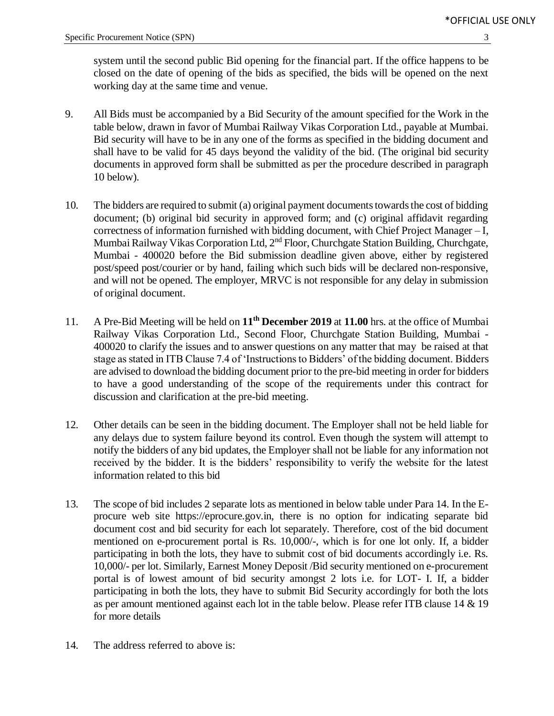system until the second public Bid opening for the financial part. If the office happens to be closed on the date of opening of the bids as specified, the bids will be opened on the next working day at the same time and venue.

- 9. All Bids must be accompanied by a Bid Security of the amount specified for the Work in the table below, drawn in favor of Mumbai Railway Vikas Corporation Ltd., payable at Mumbai. Bid security will have to be in any one of the forms as specified in the bidding document and shall have to be valid for 45 days beyond the validity of the bid. (The original bid security documents in approved form shall be submitted as per the procedure described in paragraph 10 below).
- 10. The bidders are required to submit (a) original payment documents towards the cost of bidding document; (b) original bid security in approved form; and (c) original affidavit regarding correctness of information furnished with bidding document, with Chief Project Manager – I, Mumbai Railway Vikas Corporation Ltd, 2<sup>nd</sup> Floor, Churchgate Station Building, Churchgate, Mumbai - 400020 before the Bid submission deadline given above, either by registered post/speed post/courier or by hand, failing which such bids will be declared non-responsive, and will not be opened. The employer, MRVC is not responsible for any delay in submission of original document.
- 11. A Pre-Bid Meeting will be held on **11 th December 2019** at **11.00** hrs. at the office of Mumbai Railway Vikas Corporation Ltd., Second Floor, Churchgate Station Building, Mumbai - 400020 to clarify the issues and to answer questions on any matter that may be raised at that stage as stated in ITB Clause 7.4 of 'Instructions to Bidders' of the bidding document. Bidders are advised to download the bidding document prior to the pre-bid meeting in order for bidders to have a good understanding of the scope of the requirements under this contract for discussion and clarification at the pre-bid meeting.
- 12. Other details can be seen in the bidding document. The Employer shall not be held liable for any delays due to system failure beyond its control. Even though the system will attempt to notify the bidders of any bid updates, the Employer shall not be liable for any information not received by the bidder. It is the bidders' responsibility to verify the website for the latest information related to this bid
- 13. The scope of bid includes 2 separate lots as mentioned in below table under Para 14. In the Eprocure web site https://eprocure.gov.in, there is no option for indicating separate bid document cost and bid security for each lot separately. Therefore, cost of the bid document mentioned on e-procurement portal is Rs. 10,000/-, which is for one lot only. If, a bidder participating in both the lots, they have to submit cost of bid documents accordingly i.e. Rs. 10,000/- per lot. Similarly, Earnest Money Deposit /Bid security mentioned on e-procurement portal is of lowest amount of bid security amongst 2 lots i.e. for LOT- I. If, a bidder participating in both the lots, they have to submit Bid Security accordingly for both the lots as per amount mentioned against each lot in the table below. Please refer ITB clause 14 & 19 for more details
- 14. The address referred to above is: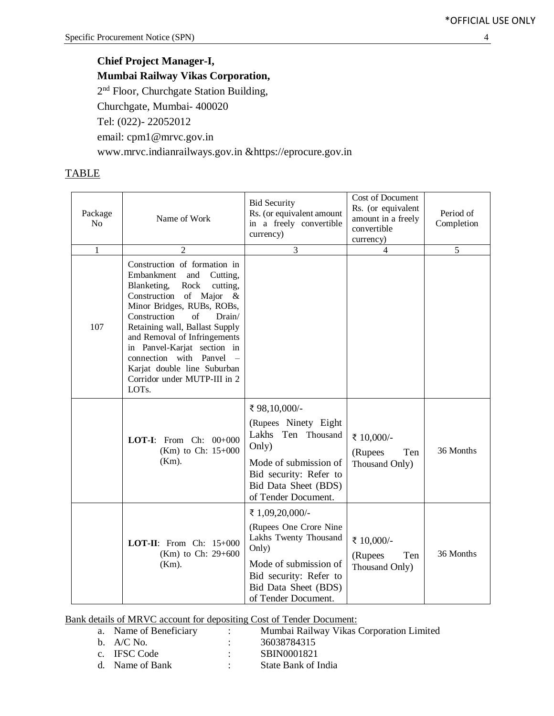### **Chief Project Manager-I, Mumbai Railway Vikas Corporation,** 2<sup>nd</sup> Floor, Churchgate Station Building, Churchgate, Mumbai- 400020 Tel: (022)- 22052012 email: cpm1@mrvc.gov.in www.mrvc.indianrailways.gov.in [&https://eprocure.gov.in](https://eprocure.gov.in/)

### **TABLE**

| Package<br>No | Name of Work                                                                                                                                                                                                                                                                                                                                                                                        | <b>Bid Security</b><br>Rs. (or equivalent amount<br>in a freely convertible<br>currency)                                                                                       | Cost of Document<br>Rs. (or equivalent<br>amount in a freely<br>convertible<br>currency) | Period of<br>Completion |
|---------------|-----------------------------------------------------------------------------------------------------------------------------------------------------------------------------------------------------------------------------------------------------------------------------------------------------------------------------------------------------------------------------------------------------|--------------------------------------------------------------------------------------------------------------------------------------------------------------------------------|------------------------------------------------------------------------------------------|-------------------------|
| $\mathbf{1}$  | $\overline{c}$                                                                                                                                                                                                                                                                                                                                                                                      | 3                                                                                                                                                                              | $\overline{4}$                                                                           | 5                       |
| 107           | Construction of formation in<br>Embankment<br>and<br>Cutting,<br>cutting,<br>Blanketing,<br>Rock<br>Construction of Major<br>$-\&$<br>Minor Bridges, RUBs, ROBs,<br>of<br>Construction<br>Drain/<br>Retaining wall, Ballast Supply<br>and Removal of Infringements<br>in Panvel-Karjat section in<br>connection with Panvel<br>Karjat double line Suburban<br>Corridor under MUTP-III in 2<br>LOTs. |                                                                                                                                                                                |                                                                                          |                         |
|               | <b>LOT-I:</b> From Ch: $00+000$<br>(Km) to Ch: $15+000$<br>$(Km)$ .                                                                                                                                                                                                                                                                                                                                 | ₹ 98,10,000/-<br>(Rupees Ninety Eight<br>Lakhs<br>Ten Thousand<br>Only)<br>Mode of submission of<br>Bid security: Refer to<br>Bid Data Sheet (BDS)<br>of Tender Document.      | ₹ 10,000/-<br>(Rupees<br>Ten<br>Thousand Only)                                           | 36 Months               |
|               | <b>LOT-II:</b> From Ch: $15+000$<br>(Km) to Ch: $29+600$<br>$(Km)$ .                                                                                                                                                                                                                                                                                                                                | ₹ 1,09,20,000/-<br>(Rupees One Crore Nine)<br>Lakhs Twenty Thousand<br>Only)<br>Mode of submission of<br>Bid security: Refer to<br>Bid Data Sheet (BDS)<br>of Tender Document. | ₹ 10,000/-<br>Ten<br>(Rupees<br>Thousand Only)                                           | 36 Months               |

Bank details of MRVC account for depositing Cost of Tender Document:

| a. Name of Beneficiary | Mumbai Railway Vikas Corporation Limited |
|------------------------|------------------------------------------|
| b. $A/C$ No.           | 36038784315                              |
| c. IFSC Code           | SBIN0001821                              |

|  | Name of Bank |  | State Bank of India |
|--|--------------|--|---------------------|
|--|--------------|--|---------------------|